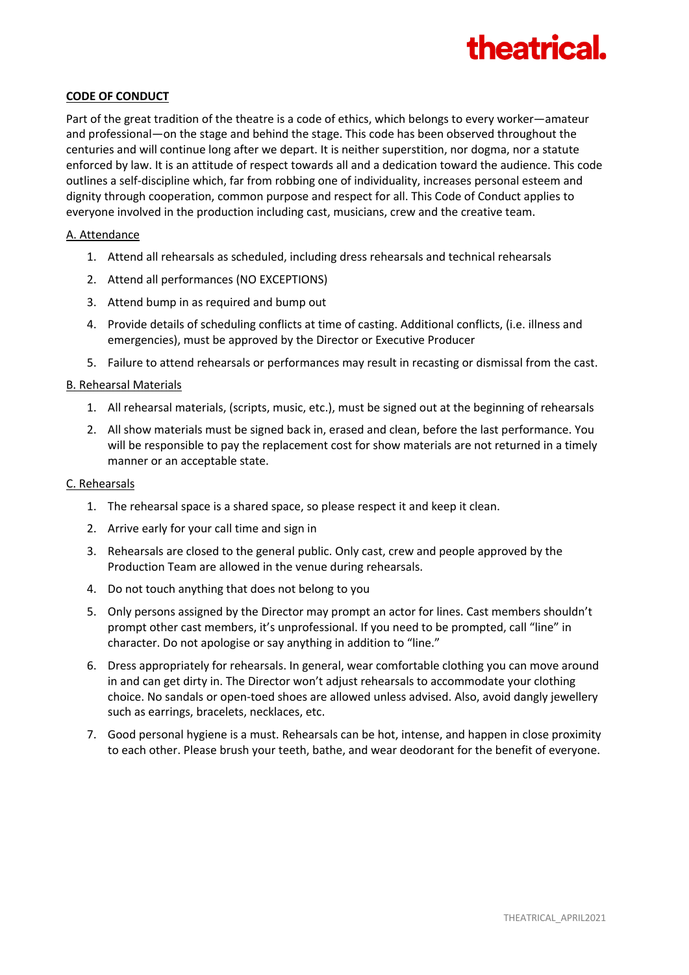

## **CODE OF CONDUCT**

Part of the great tradition of the theatre is a code of ethics, which belongs to every worker—amateur and professional—on the stage and behind the stage. This code has been observed throughout the centuries and will continue long after we depart. It is neither superstition, nor dogma, nor a statute enforced by law. It is an attitude of respect towards all and a dedication toward the audience. This code outlines a self-discipline which, far from robbing one of individuality, increases personal esteem and dignity through cooperation, common purpose and respect for all. This Code of Conduct applies to everyone involved in the production including cast, musicians, crew and the creative team.

#### A. Attendance

- 1. Attend all rehearsals as scheduled, including dress rehearsals and technical rehearsals
- 2. Attend all performances (NO EXCEPTIONS)
- 3. Attend bump in as required and bump out
- 4. Provide details of scheduling conflicts at time of casting. Additional conflicts, (i.e. illness and emergencies), must be approved by the Director or Executive Producer
- 5. Failure to attend rehearsals or performances may result in recasting or dismissal from the cast.

### B. Rehearsal Materials

- 1. All rehearsal materials, (scripts, music, etc.), must be signed out at the beginning of rehearsals
- 2. All show materials must be signed back in, erased and clean, before the last performance. You will be responsible to pay the replacement cost for show materials are not returned in a timely manner or an acceptable state.

#### C. Rehearsals

- 1. The rehearsal space is a shared space, so please respect it and keep it clean.
- 2. Arrive early for your call time and sign in
- 3. Rehearsals are closed to the general public. Only cast, crew and people approved by the Production Team are allowed in the venue during rehearsals.
- 4. Do not touch anything that does not belong to you
- 5. Only persons assigned by the Director may prompt an actor for lines. Cast members shouldn't prompt other cast members, it's unprofessional. If you need to be prompted, call "line" in character. Do not apologise or say anything in addition to "line."
- 6. Dress appropriately for rehearsals. In general, wear comfortable clothing you can move around in and can get dirty in. The Director won't adjust rehearsals to accommodate your clothing choice. No sandals or open-toed shoes are allowed unless advised. Also, avoid dangly jewellery such as earrings, bracelets, necklaces, etc.
- 7. Good personal hygiene is a must. Rehearsals can be hot, intense, and happen in close proximity to each other. Please brush your teeth, bathe, and wear deodorant for the benefit of everyone.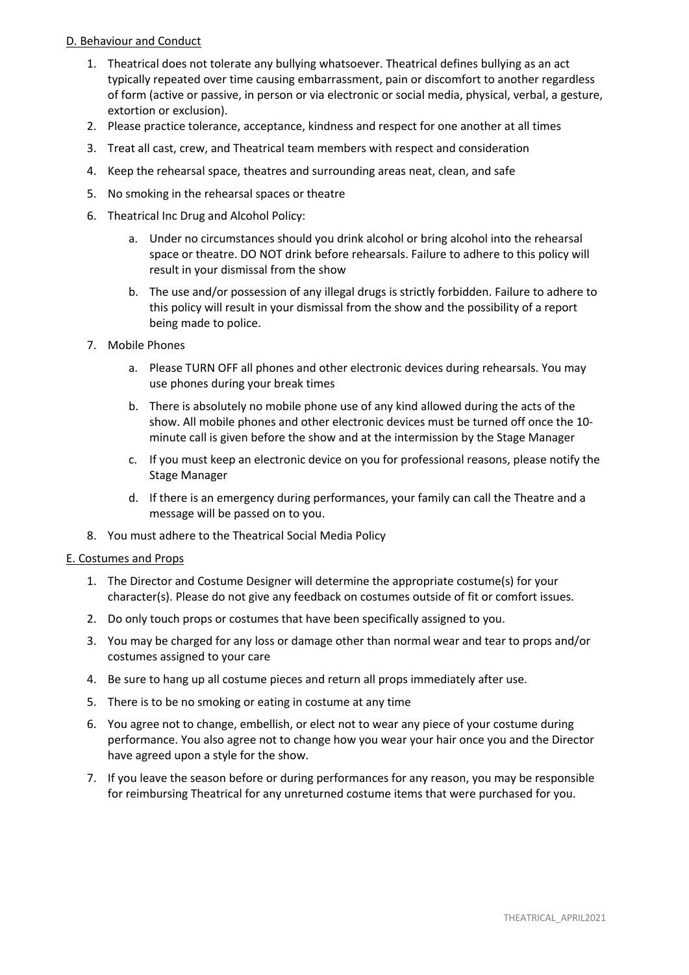# D. Behaviour and Conduct

- 1. Theatrical does not tolerate any bullying whatsoever. Theatrical defines bullying as an act typically repeated over time causing embarrassment, pain or discomfort to another regardless of form (active or passive, in person or via electronic or social media, physical, verbal, a gesture, extortion or exclusion).
- 2. Please practice tolerance, acceptance, kindness and respect for one another at all times
- 3. Treat all cast, crew, and Theatrical team members with respect and consideration
- 4. Keep the rehearsal space, theatres and surrounding areas neat, clean, and safe
- 5. No smoking in the rehearsal spaces or theatre
- 6. Theatrical Inc Drug and Alcohol Policy:
	- a. Under no circumstances should you drink alcohol or bring alcohol into the rehearsal space or theatre. DO NOT drink before rehearsals. Failure to adhere to this policy will result in your dismissal from the show
	- b. The use and/or possession of any illegal drugs is strictly forbidden. Failure to adhere to this policy will result in your dismissal from the show and the possibility of a report being made to police.
- 7. Mobile Phones
	- a. Please TURN OFF all phones and other electronic devices during rehearsals. You may use phones during your break times
	- b. There is absolutely no mobile phone use of any kind allowed during the acts of the show. All mobile phones and other electronic devices must be turned off once the 10 minute call is given before the show and at the intermission by the Stage Manager
	- c. If you must keep an electronic device on you for professional reasons, please notify the Stage Manager
	- d. If there is an emergency during performances, your family can call the Theatre and a message will be passed on to you.
- 8. You must adhere to the Theatrical Social Media Policy

## E. Costumes and Props

- 1. The Director and Costume Designer will determine the appropriate costume(s) for your character(s). Please do not give any feedback on costumes outside of fit or comfort issues.
- 2. Do only touch props or costumes that have been specifically assigned to you.
- 3. You may be charged for any loss or damage other than normal wear and tear to props and/or costumes assigned to your care
- 4. Be sure to hang up all costume pieces and return all props immediately after use.
- 5. There is to be no smoking or eating in costume at any time
- 6. You agree not to change, embellish, or elect not to wear any piece of your costume during performance. You also agree not to change how you wear your hair once you and the Director have agreed upon a style for the show.
- 7. If you leave the season before or during performances for any reason, you may be responsible for reimbursing Theatrical for any unreturned costume items that were purchased for you.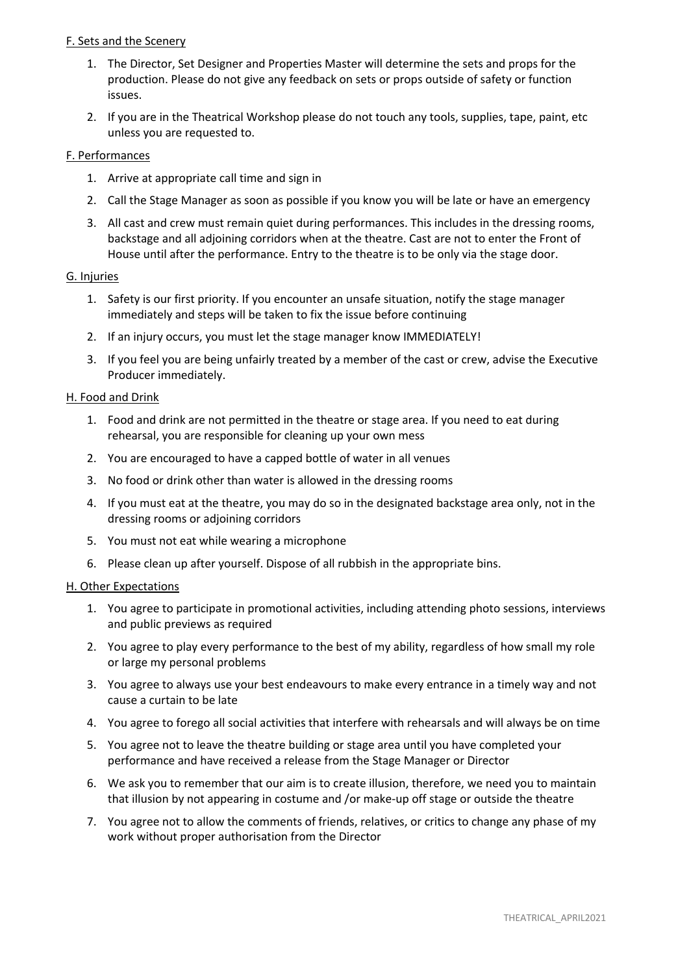## F. Sets and the Scenery

- 1. The Director, Set Designer and Properties Master will determine the sets and props for the production. Please do not give any feedback on sets or props outside of safety or function issues.
- 2. If you are in the Theatrical Workshop please do not touch any tools, supplies, tape, paint, etc unless you are requested to.

## F. Performances

- 1. Arrive at appropriate call time and sign in
- 2. Call the Stage Manager as soon as possible if you know you will be late or have an emergency
- 3. All cast and crew must remain quiet during performances. This includes in the dressing rooms, backstage and all adjoining corridors when at the theatre. Cast are not to enter the Front of House until after the performance. Entry to the theatre is to be only via the stage door.

## G. Injuries

- 1. Safety is our first priority. If you encounter an unsafe situation, notify the stage manager immediately and steps will be taken to fix the issue before continuing
- 2. If an injury occurs, you must let the stage manager know IMMEDIATELY!
- 3. If you feel you are being unfairly treated by a member of the cast or crew, advise the Executive Producer immediately.

## H. Food and Drink

- 1. Food and drink are not permitted in the theatre or stage area. If you need to eat during rehearsal, you are responsible for cleaning up your own mess
- 2. You are encouraged to have a capped bottle of water in all venues
- 3. No food or drink other than water is allowed in the dressing rooms
- 4. If you must eat at the theatre, you may do so in the designated backstage area only, not in the dressing rooms or adjoining corridors
- 5. You must not eat while wearing a microphone
- 6. Please clean up after yourself. Dispose of all rubbish in the appropriate bins.

## H. Other Expectations

- 1. You agree to participate in promotional activities, including attending photo sessions, interviews and public previews as required
- 2. You agree to play every performance to the best of my ability, regardless of how small my role or large my personal problems
- 3. You agree to always use your best endeavours to make every entrance in a timely way and not cause a curtain to be late
- 4. You agree to forego all social activities that interfere with rehearsals and will always be on time
- 5. You agree not to leave the theatre building or stage area until you have completed your performance and have received a release from the Stage Manager or Director
- 6. We ask you to remember that our aim is to create illusion, therefore, we need you to maintain that illusion by not appearing in costume and /or make-up off stage or outside the theatre
- 7. You agree not to allow the comments of friends, relatives, or critics to change any phase of my work without proper authorisation from the Director